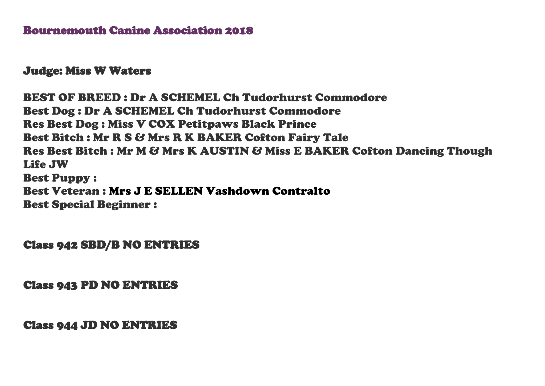## Bournemouth Canine Association 2018

## Judge: Miss W Waters

BEST OF BREED : Dr A SCHEMEL Ch Tudorhurst Commodore Best Dog : Dr A SCHEMEL Ch Tudorhurst Commodore Res Best Dog : Miss V COX Petitpaws Black Prince Best Bitch : Mr R S & Mrs R K BAKER Cofton Fairy Tale Res Best Bitch : Mr M & Mrs K AUSTIN & Miss E BAKER Cofton Dancing Though Life JW Best Puppy : Best Veteran : Mrs J E SELLEN Vashdown Contralto Best Special Beginner :

Class 942 SBD/B NO ENTRIES

Class 943 PD NO ENTRIES

Class 944 JD NO ENTRIES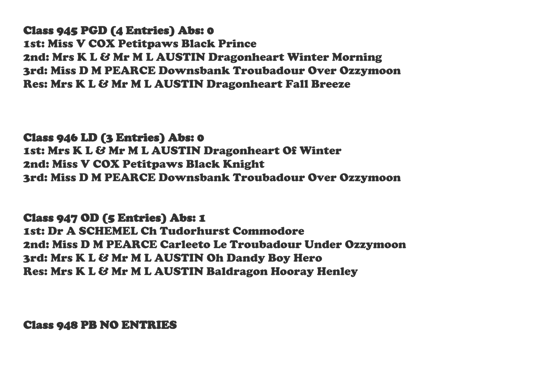Class 945 PGD (4 Entries) Abs: 0 1st: Miss V COX Petitpaws Black Prince 2nd: Mrs K L & Mr M L AUSTIN Dragonheart Winter Morning 3rd: Miss D M PEARCE Downsbank Troubadour Over Ozzymoon Res: Mrs K L & Mr M L AUSTIN Dragonheart Fall Breeze

Class 946 LD (3 Entries) Abs: 0 1st: Mrs K L & Mr M L AUSTIN Dragonheart Of Winter 2nd: Miss V COX Petitpaws Black Knight 3rd: Miss D M PEARCE Downsbank Troubadour Over Ozzymoon

Class 947 OD (5 Entries) Abs: 1 1st: Dr A SCHEMEL Ch Tudorhurst Commodore 2nd: Miss D M PEARCE Carleeto Le Troubadour Under Ozzymoon 3rd: Mrs K L & Mr M L AUSTIN Oh Dandy Boy Hero Res: Mrs K L & Mr M L AUSTIN Baldragon Hooray Henley

Class 948 PB NO ENTRIES